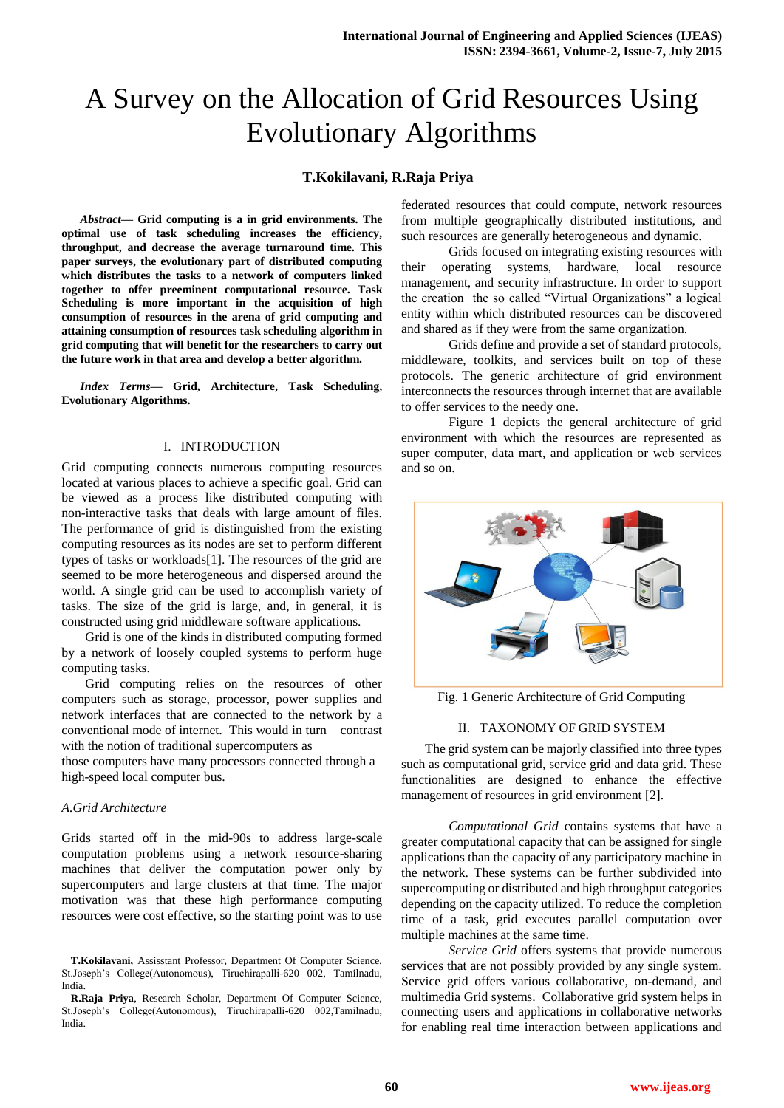# A Survey on the Allocation of Grid Resources Using Evolutionary Algorithms

### **T.Kokilavani, R.Raja Priya**

*Abstract***— Grid computing is a in grid environments. The optimal use of task scheduling increases the efficiency, throughput, and decrease the average turnaround time. This paper surveys, the evolutionary part of distributed computing which distributes the tasks to a network of computers linked together to offer preeminent computational resource. Task Scheduling is more important in the acquisition of high consumption of resources in the arena of grid computing and attaining consumption of resources task scheduling algorithm in grid computing that will benefit for the researchers to carry out the future work in that area and develop a better algorithm.**

*Index Terms***— Grid, Architecture, Task Scheduling, Evolutionary Algorithms.**

#### I. INTRODUCTION

Grid computing connects numerous computing resources located at various places to achieve a specific goal. Grid can be viewed as a process like distributed computing with non-interactive tasks that deals with large amount of files. The performance of grid is distinguished from the existing computing resources as its nodes are set to perform different types of tasks or workloads[1]. The resources of the grid are seemed to be more heterogeneous and dispersed around the world. A single grid can be used to accomplish variety of tasks. The size of the grid is large, and, in general, it is constructed using grid middleware software applications.

Grid is one of the kinds in distributed computing formed by a network of loosely coupled systems to perform huge computing tasks.

Grid computing relies on the resources of other computers such as storage, processor, power supplies and network interfaces that are connected to the network by a conventional mode of internet. This would in turn contrast with the notion of traditional supercomputers as

those computers have many processors connected through a high-speed local computer bus.

#### *A.Grid Architecture*

Grids started off in the mid-90s to address large-scale computation problems using a network resource-sharing machines that deliver the computation power only by supercomputers and large clusters at that time. The major motivation was that these high performance computing resources were cost effective, so the starting point was to use federated resources that could compute, network resources from multiple geographically distributed institutions, and such resources are generally heterogeneous and dynamic.

Grids focused on integrating existing resources with their operating systems, hardware, local resource management, and security infrastructure. In order to support the creation the so called "Virtual Organizations" a logical entity within which distributed resources can be discovered and shared as if they were from the same organization.

Grids define and provide a set of standard protocols, middleware, toolkits, and services built on top of these protocols. The generic architecture of grid environment interconnects the resources through internet that are available to offer services to the needy one.

Figure 1 depicts the general architecture of grid environment with which the resources are represented as super computer, data mart, and application or web services and so on.



Fig. 1 Generic Architecture of Grid Computing

### II. TAXONOMY OF GRID SYSTEM

The grid system can be majorly classified into three types such as computational grid, service grid and data grid. These functionalities are designed to enhance the effective management of resources in grid environment [2].

*Computational Grid* contains systems that have a greater computational capacity that can be assigned for single applications than the capacity of any participatory machine in the network. These systems can be further subdivided into supercomputing or distributed and high throughput categories depending on the capacity utilized. To reduce the completion time of a task, grid executes parallel computation over multiple machines at the same time.

*Service Grid* offers systems that provide numerous services that are not possibly provided by any single system. Service grid offers various collaborative, on-demand, and multimedia Grid systems. Collaborative grid system helps in connecting users and applications in collaborative networks for enabling real time interaction between applications and

**T.Kokilavani,** Assisstant Professor, Department Of Computer Science, St.Joseph's College(Autonomous), Tiruchirapalli-620 002, Tamilnadu, India.

**R.Raja Priya**, Research Scholar, Department Of Computer Science, St.Joseph's College(Autonomous), Tiruchirapalli-620 002,Tamilnadu, India.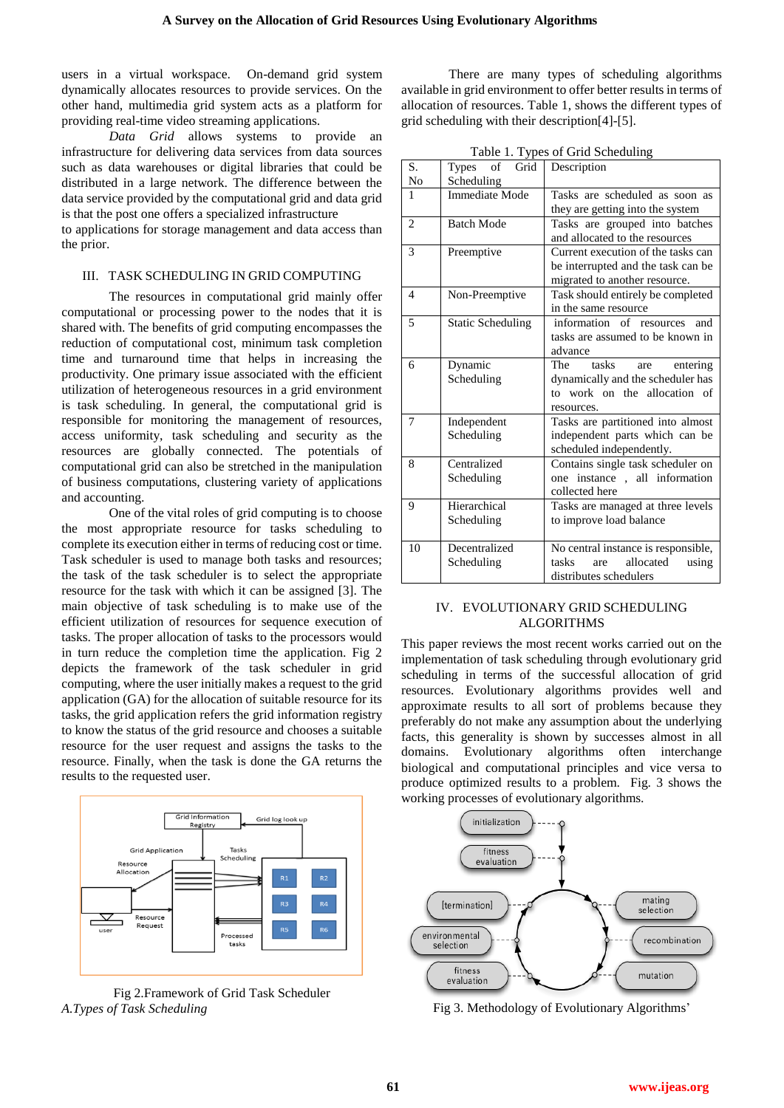users in a virtual workspace. On-demand grid system dynamically allocates resources to provide services. On the other hand, multimedia grid system acts as a platform for providing real-time video streaming applications.

*Data Grid* allows systems to provide an infrastructure for delivering data services from data sources such as data warehouses or digital libraries that could be distributed in a large network. The difference between the data service provided by the computational grid and data grid is that the post one offers a specialized infrastructure

to applications for storage management and data access than the prior.

#### III. TASK SCHEDULING IN GRID COMPUTING

The resources in computational grid mainly offer computational or processing power to the nodes that it is shared with. The benefits of grid computing encompasses the reduction of computational cost, minimum task completion time and turnaround time that helps in increasing the productivity. One primary issue associated with the efficient utilization of heterogeneous resources in a grid environment is task scheduling. In general, the computational grid is responsible for monitoring the management of resources, access uniformity, task scheduling and security as the resources are globally connected. The potentials of computational grid can also be stretched in the manipulation of business computations, clustering variety of applications and accounting.

One of the vital roles of grid computing is to choose the most appropriate resource for tasks scheduling to complete its execution either in terms of reducing cost or time. Task scheduler is used to manage both tasks and resources; the task of the task scheduler is to select the appropriate resource for the task with which it can be assigned [3]. The main objective of task scheduling is to make use of the efficient utilization of resources for sequence execution of tasks. The proper allocation of tasks to the processors would in turn reduce the completion time the application. Fig 2 depicts the framework of the task scheduler in grid computing, where the user initially makes a request to the grid application (GA) for the allocation of suitable resource for its tasks, the grid application refers the grid information registry to know the status of the grid resource and chooses a suitable resource for the user request and assigns the tasks to the resource. Finally, when the task is done the GA returns the results to the requested user.



Fig 2.Framework of Grid Task Scheduler *A.Types of Task Scheduling*

There are many types of scheduling algorithms available in grid environment to offer better results in terms of allocation of resources. Table 1, shows the different types of grid scheduling with their description[4]-[5].

|  |  |  | Table 1. Types of Grid Scheduling |
|--|--|--|-----------------------------------|
|--|--|--|-----------------------------------|

| S.                | Types<br>Grid<br>of      | Description                         |  |
|-------------------|--------------------------|-------------------------------------|--|
| No                | Scheduling               |                                     |  |
| $\mathbf{1}$      | Immediate Mode           | Tasks are scheduled as soon as      |  |
|                   |                          | they are getting into the system    |  |
| $\overline{2}$    | <b>Batch Mode</b>        | Tasks are grouped into batches      |  |
|                   |                          | and allocated to the resources      |  |
| 3                 | Preemptive               | Current execution of the tasks can  |  |
|                   |                          | be interrupted and the task can be  |  |
|                   |                          | migrated to another resource.       |  |
| 4                 | Non-Preemptive           | Task should entirely be completed   |  |
|                   |                          | in the same resource                |  |
| 5                 | <b>Static Scheduling</b> | information of resources<br>and     |  |
|                   |                          | tasks are assumed to be known in    |  |
|                   |                          | advance                             |  |
| 6                 | Dynamic                  | The<br>tasks<br>entering<br>are     |  |
|                   | Scheduling               | dynamically and the scheduler has   |  |
|                   |                          | to work on the allocation of        |  |
|                   |                          | resources.                          |  |
| 7                 | Independent              | Tasks are partitioned into almost   |  |
|                   | Scheduling               | independent parts which can be      |  |
|                   |                          | scheduled independently.            |  |
| 8                 | Centralized              | Contains single task scheduler on   |  |
|                   | Scheduling               | one instance, all information       |  |
|                   |                          | collected here                      |  |
| Hierarchical<br>9 |                          | Tasks are managed at three levels   |  |
|                   | Scheduling               | to improve load balance             |  |
|                   |                          |                                     |  |
| 10                | Decentralized            | No central instance is responsible, |  |
|                   | Scheduling               | allocated<br>tasks<br>using<br>are  |  |
|                   |                          | distributes schedulers              |  |

#### IV. EVOLUTIONARY GRID SCHEDULING ALGORITHMS

This paper reviews the most recent works carried out on the implementation of task scheduling through evolutionary grid scheduling in terms of the successful allocation of grid resources. Evolutionary algorithms provides well and approximate results to all sort of problems because they preferably do not make any assumption about the underlying facts, this generality is shown by successes almost in all domains. Evolutionary algorithms often interchange biological and computational principles and vice versa to produce optimized results to a problem. Fig. 3 shows the working processes of evolutionary algorithms.



Fig 3. Methodology of Evolutionary Algorithms'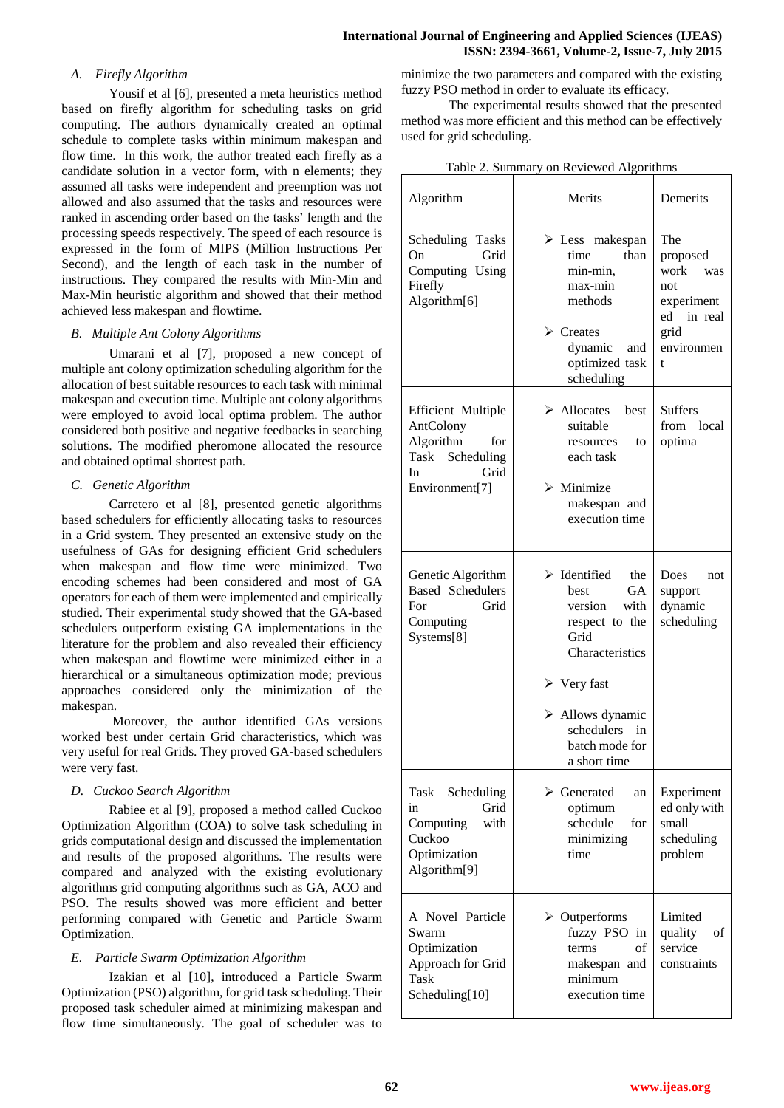## *A. Firefly Algorithm*

Yousif et al [6], presented a meta heuristics method based on firefly algorithm for scheduling tasks on grid computing. The authors dynamically created an optimal schedule to complete tasks within minimum makespan and flow time. In this work, the author treated each firefly as a candidate solution in a vector form, with n elements; they assumed all tasks were independent and preemption was not allowed and also assumed that the tasks and resources were ranked in ascending order based on the tasks' length and the processing speeds respectively. The speed of each resource is expressed in the form of MIPS (Million Instructions Per Second), and the length of each task in the number of instructions. They compared the results with Min-Min and Max-Min heuristic algorithm and showed that their method achieved less makespan and flowtime.

## *B. Multiple Ant Colony Algorithms*

Umarani et al [7], proposed a new concept of multiple ant colony optimization scheduling algorithm for the allocation of best suitable resources to each task with minimal makespan and execution time. Multiple ant colony algorithms were employed to avoid local optima problem. The author considered both positive and negative feedbacks in searching solutions. The modified pheromone allocated the resource and obtained optimal shortest path.

## *C. Genetic Algorithm*

Carretero et al [8], presented genetic algorithms based schedulers for efficiently allocating tasks to resources in a Grid system. They presented an extensive study on the usefulness of GAs for designing efficient Grid schedulers when makespan and flow time were minimized. Two encoding schemes had been considered and most of GA operators for each of them were implemented and empirically studied. Their experimental study showed that the GA-based schedulers outperform existing GA implementations in the literature for the problem and also revealed their efficiency when makespan and flowtime were minimized either in a hierarchical or a simultaneous optimization mode; previous approaches considered only the minimization of the makespan.

Moreover, the author identified GAs versions worked best under certain Grid characteristics, which was very useful for real Grids. They proved GA-based schedulers were very fast.

# *D. Cuckoo Search Algorithm*

Rabiee et al [9], proposed a method called Cuckoo Optimization Algorithm (COA) to solve task scheduling in grids computational design and discussed the implementation and results of the proposed algorithms. The results were compared and analyzed with the existing evolutionary algorithms grid computing algorithms such as GA, ACO and PSO. The results showed was more efficient and better performing compared with Genetic and Particle Swarm Optimization.

# *E. Particle Swarm Optimization Algorithm*

Izakian et al [10], introduced a Particle Swarm Optimization (PSO) algorithm, for grid task scheduling. Their proposed task scheduler aimed at minimizing makespan and flow time simultaneously. The goal of scheduler was to

minimize the two parameters and compared with the existing fuzzy PSO method in order to evaluate its efficacy.

The experimental results showed that the presented method was more efficient and this method can be effectively used for grid scheduling.

| Algorithm                                                                                                      | Merits                                                                                                                                                                                                                                         | Demerits                                                                                     |
|----------------------------------------------------------------------------------------------------------------|------------------------------------------------------------------------------------------------------------------------------------------------------------------------------------------------------------------------------------------------|----------------------------------------------------------------------------------------------|
| Scheduling Tasks<br>Grid<br>On<br>Computing Using<br>Firefly<br>Algorithm[6]                                   | $\triangleright$ Less makespan<br>time<br>than<br>min-min.<br>max-min<br>methods<br>$\triangleright$ Creates<br>dynamic<br>and<br>optimized task<br>scheduling                                                                                 | The<br>proposed<br>work<br>was<br>not<br>experiment<br>ed in real<br>grid<br>environmen<br>t |
| <b>Efficient Multiple</b><br>AntColony<br>Algorithm<br>for<br>Task Scheduling<br>In.<br>Grid<br>Environment[7] | $\triangleright$ Allocates<br><b>best</b><br>suitable<br>to<br>resources<br>each task<br>$\triangleright$ Minimize<br>makespan and<br>execution time                                                                                           | <b>Suffers</b><br>from local<br>optima                                                       |
| Genetic Algorithm<br><b>Based Schedulers</b><br>Grid<br>For<br>Computing<br>Systems[8]                         | $\triangleright$ Identified<br>the<br><b>GA</b><br>best<br>version<br>with<br>respect to the<br>Grid<br>Characteristics<br>$\triangleright$ Very fast<br>$\triangleright$ Allows dynamic<br>schedulers<br>in<br>batch mode for<br>a short time | Does<br>not<br>support<br>dynamic<br>scheduling                                              |
| Scheduling<br>Task<br>Grid<br>in<br>Computing<br>with<br>Cuckoo<br>Optimization<br>Algorithm <sup>[9]</sup>    | $\triangleright$ Generated<br>an<br>optimum<br>schedule<br>for<br>minimizing<br>time                                                                                                                                                           | Experiment<br>ed only with<br>small<br>scheduling<br>problem                                 |
| A Novel Particle<br>Swarm<br>Optimization<br>Approach for Grid<br>Task<br>Scheduling[10]                       | $\triangleright$ Outperforms<br>fuzzy PSO in<br>of<br>terms<br>makespan and<br>minimum<br>execution time                                                                                                                                       | Limited<br>quality<br>οf<br>service<br>constraints                                           |